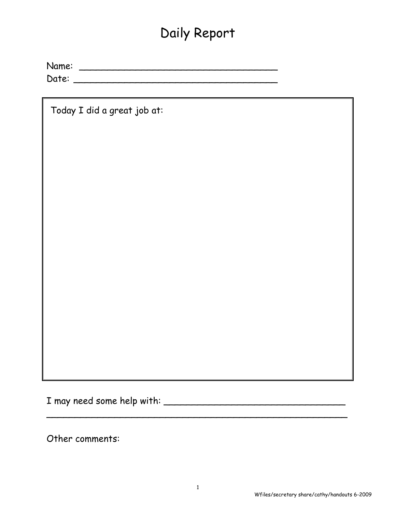# Daily Report

Name: \_\_\_\_\_\_\_\_\_\_\_\_\_\_\_\_\_\_\_\_\_\_\_\_\_\_\_\_\_\_\_\_\_\_\_ Date: \_\_\_\_\_\_\_\_\_\_\_\_\_\_\_\_\_\_\_\_\_\_\_\_\_\_\_\_\_\_\_\_\_\_\_\_

Today I did a great job at:

I may need some help with: \_\_\_\_\_\_\_\_\_\_\_\_\_\_\_\_\_\_\_\_\_\_\_\_\_\_\_\_\_\_\_\_

Other comments:

\_\_\_\_\_\_\_\_\_\_\_\_\_\_\_\_\_\_\_\_\_\_\_\_\_\_\_\_\_\_\_\_\_\_\_\_\_\_\_\_\_\_\_\_\_\_\_\_\_\_\_\_\_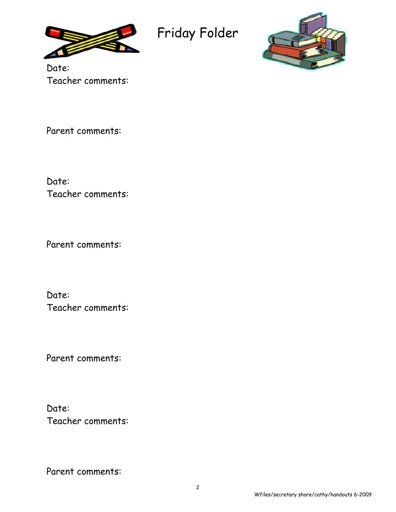

Friday Folder



Date: Teacher comments:

Parent comments:

Date: Teacher comments:

Parent comments:

Date: Teacher comments:

Parent comments:

Date: Teacher comments:

Parent comments: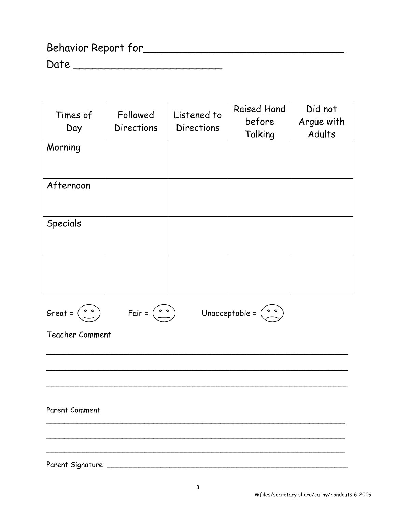Behavior Report for\_\_\_\_\_\_\_\_\_\_\_\_\_\_\_\_\_\_\_\_\_\_\_\_\_\_\_\_\_\_\_

Date \_\_\_\_\_\_\_\_\_\_\_\_\_\_\_\_\_\_\_\_\_\_\_

| Times of<br>Day                                                                                     | Followed<br>Directions | Listened to<br>Directions | <b>Raised Hand</b><br>before<br>Talking | Did not<br>Argue with<br>Adults |  |  |  |
|-----------------------------------------------------------------------------------------------------|------------------------|---------------------------|-----------------------------------------|---------------------------------|--|--|--|
| Morning                                                                                             |                        |                           |                                         |                                 |  |  |  |
| Afternoon                                                                                           |                        |                           |                                         |                                 |  |  |  |
| Specials                                                                                            |                        |                           |                                         |                                 |  |  |  |
|                                                                                                     |                        |                           |                                         |                                 |  |  |  |
| Unacceptable = $\left(\frac{\circ}{\bullet}\right)$<br>$\bullet$ $\bullet$<br>Fair = $($<br>Great = |                        |                           |                                         |                                 |  |  |  |
| <b>Teacher Comment</b>                                                                              |                        |                           |                                         |                                 |  |  |  |
|                                                                                                     |                        |                           |                                         |                                 |  |  |  |
| <b>Parent Comment</b>                                                                               |                        |                           |                                         |                                 |  |  |  |
|                                                                                                     |                        |                           |                                         |                                 |  |  |  |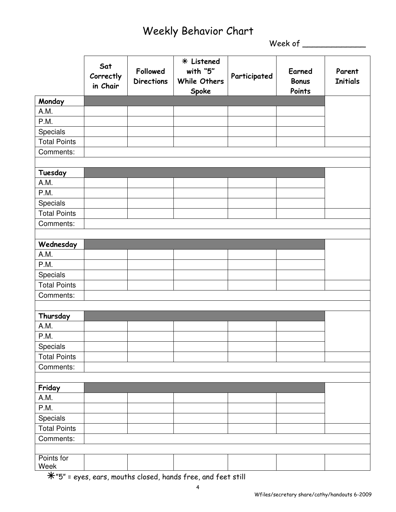## Weekly Behavior Chart

Week of \_\_\_\_\_\_\_\_\_\_\_\_\_

|                     | Sat<br>Correctly<br>in Chair | Followed<br><b>Directions</b> | * Listened<br>with "5"<br>While Others<br>Spoke | Participated | Earned<br><b>Bonus</b><br>Points | Parent<br><b>Initials</b> |
|---------------------|------------------------------|-------------------------------|-------------------------------------------------|--------------|----------------------------------|---------------------------|
| Monday              |                              |                               |                                                 |              |                                  |                           |
| A.M.                |                              |                               |                                                 |              |                                  |                           |
| P.M.                |                              |                               |                                                 |              |                                  |                           |
| Specials            |                              |                               |                                                 |              |                                  |                           |
| <b>Total Points</b> |                              |                               |                                                 |              |                                  |                           |
| Comments:           |                              |                               |                                                 |              |                                  |                           |
|                     |                              |                               |                                                 |              |                                  |                           |
| Tuesday             |                              |                               |                                                 |              |                                  |                           |
| A.M.                |                              |                               |                                                 |              |                                  |                           |
| P.M.                |                              |                               |                                                 |              |                                  |                           |
| Specials            |                              |                               |                                                 |              |                                  |                           |
| <b>Total Points</b> |                              |                               |                                                 |              |                                  |                           |
| Comments:           |                              |                               |                                                 |              |                                  |                           |
|                     |                              |                               |                                                 |              |                                  |                           |
| Wednesday           |                              |                               |                                                 |              |                                  |                           |
| A.M.                |                              |                               |                                                 |              |                                  |                           |
| P.M.                |                              |                               |                                                 |              |                                  |                           |
| Specials            |                              |                               |                                                 |              |                                  |                           |
| <b>Total Points</b> |                              |                               |                                                 |              |                                  |                           |
| Comments:           |                              |                               |                                                 |              |                                  |                           |
|                     |                              |                               |                                                 |              |                                  |                           |
| Thursday            |                              |                               |                                                 |              |                                  |                           |
| A.M.                |                              |                               |                                                 |              |                                  |                           |
| P.M.                |                              |                               |                                                 |              |                                  |                           |
| Specials            |                              |                               |                                                 |              |                                  |                           |
| <b>Total Points</b> |                              |                               |                                                 |              |                                  |                           |
| Comments:           |                              |                               |                                                 |              |                                  |                           |
|                     |                              |                               |                                                 |              |                                  |                           |
| Friday              |                              |                               |                                                 |              |                                  |                           |
| A.M.                |                              |                               |                                                 |              |                                  |                           |
| P.M.                |                              |                               |                                                 |              |                                  |                           |
| Specials            |                              |                               |                                                 |              |                                  |                           |
| <b>Total Points</b> |                              |                               |                                                 |              |                                  |                           |
| Comments:           |                              |                               |                                                 |              |                                  |                           |
|                     |                              |                               |                                                 |              |                                  |                           |
| Points for<br>Week  |                              |                               |                                                 |              |                                  |                           |

"5" = eyes, ears, mouths closed, hands free, and feet still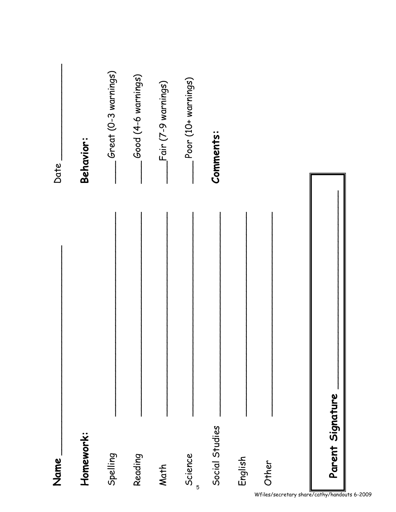| Name <sub>.</sub>         | Date.                |
|---------------------------|----------------------|
| Homework:                 | Behavior:            |
| Spelling                  | Great (0-3 warnings) |
| Reading                   | Good (4-6 warnings)  |
| Math                      | Fair (7-9 warnings)  |
| Science<br>$\overline{5}$ | Poor (10+ warnings)  |
| Social Studies            | Comments:            |
| English                   |                      |
| Other                     |                      |
|                           |                      |
| Parent Signature          |                      |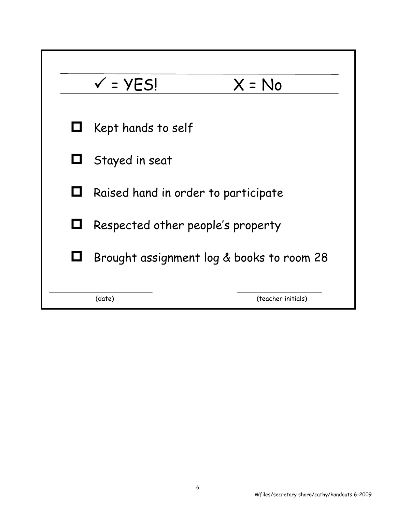|   | $\sqrt{2}$ = YES!                         | $X = No$           |
|---|-------------------------------------------|--------------------|
|   |                                           |                    |
| ш | Kept hands to self                        |                    |
| ш | Stayed in seat                            |                    |
| ப | Raised hand in order to participate       |                    |
| ш | Respected other people's property         |                    |
| ш | Brought assignment log & books to room 28 |                    |
|   |                                           |                    |
|   | (date)                                    | (teacher initials) |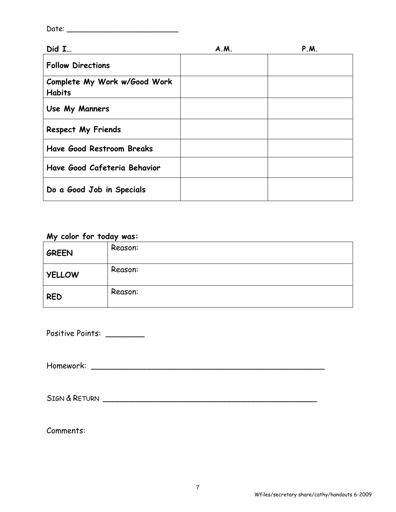Date: \_\_\_\_\_\_\_\_\_\_\_\_\_\_\_\_\_\_\_\_\_\_\_\_\_

| Did I                                         | A.M. | <b>P.M.</b> |
|-----------------------------------------------|------|-------------|
| <b>Follow Directions</b>                      |      |             |
| Complete My Work w/Good Work<br><b>Habits</b> |      |             |
| Use My Manners                                |      |             |
| <b>Respect My Friends</b>                     |      |             |
| <b>Have Good Restroom Breaks</b>              |      |             |
| Have Good Cafeteria Behavior                  |      |             |
| Do a Good Job in Specials                     |      |             |

#### **My color for today was:**

| <b>GREEN</b>  | <b>Reason:</b> |
|---------------|----------------|
| <b>YELLOW</b> | <b>Reason:</b> |
| <b>RED</b>    | <b>Reason:</b> |

Positive Points: \_\_\_\_\_\_\_\_\_

Homework: \_\_\_\_\_\_\_\_\_\_\_\_\_\_\_\_\_\_\_\_\_\_\_\_\_\_\_\_\_\_\_\_\_\_\_\_\_\_\_\_\_\_\_\_\_\_\_\_

SIGN & RETURN \_\_\_\_\_\_\_\_\_\_\_\_\_\_\_\_\_\_\_\_\_\_\_\_\_\_\_\_\_\_\_\_\_\_\_\_\_\_\_\_\_\_\_\_

Comments: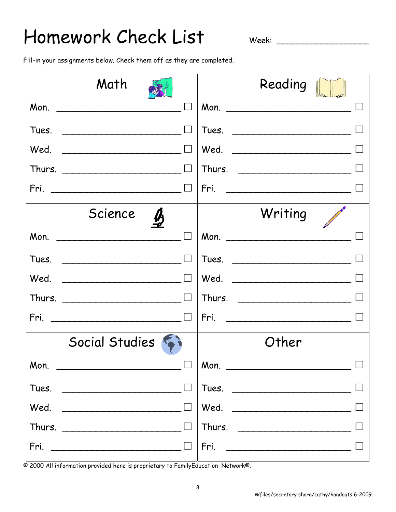# Homework Check List Week:

Fill-in your assignments below. Check them off as they are completed.

|                            | Math           |  | Reading                        |        |
|----------------------------|----------------|--|--------------------------------|--------|
| Mon. $\qquad \qquad \Box$  |                |  | Mon. $\qquad \qquad \Box$      |        |
|                            |                |  | Tues. $\overline{\phantom{a}}$ |        |
| Wed. $\qquad \qquad \Box$  |                |  |                                |        |
| Thurs. $\Box$              |                |  | Thurs.                         |        |
| Fri. $\Box$                |                |  |                                |        |
|                            | Science        |  | Writing                        |        |
| Mon. $\qquad \qquad \Box$  |                |  |                                |        |
| Tues. $\qquad \qquad \Box$ |                |  | Tues. $\Box$                   |        |
| Wed.                       |                |  |                                |        |
| Thurs. $\Box$              |                |  |                                |        |
|                            |                |  |                                |        |
|                            | Social Studies |  | Other                          |        |
|                            |                |  |                                |        |
| Tues. $\qquad \qquad \Box$ |                |  |                                |        |
|                            |                |  |                                | $\Box$ |
| Thurs. $\Box$              |                |  | Thurs.                         |        |
|                            |                |  | $Fri.$ $\qquad \qquad \Box$    |        |

© 2000 All information provided here is proprietary to FamilyEducation Network®.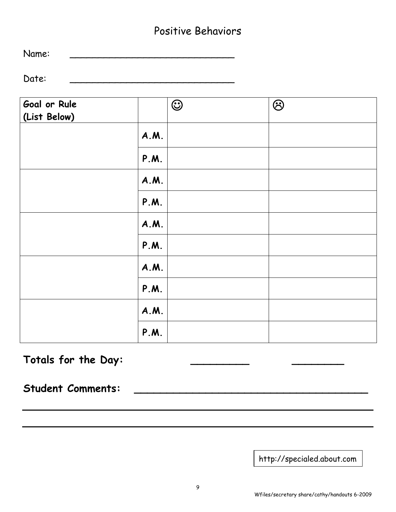#### Positive Behaviors

Name:

Date:\_\_\_\_\_\_\_\_\_\_\_\_\_\_\_\_\_\_\_\_\_\_\_\_\_\_\_\_\_

| Goal or Rule<br>(List Below) |      | $\odot$ | 3 |
|------------------------------|------|---------|---|
|                              | A.M. |         |   |
|                              | P.M. |         |   |
|                              | A.M. |         |   |
|                              | P.M. |         |   |
|                              | A.M. |         |   |
|                              | P.M. |         |   |
|                              | A.M. |         |   |
|                              | P.M. |         |   |
|                              | A.M. |         |   |
|                              | P.M. |         |   |

### **Totals for the Day: \_\_\_\_\_\_\_\_\_ \_\_\_\_\_\_\_\_**

Student Comments:

http://specialed.about.com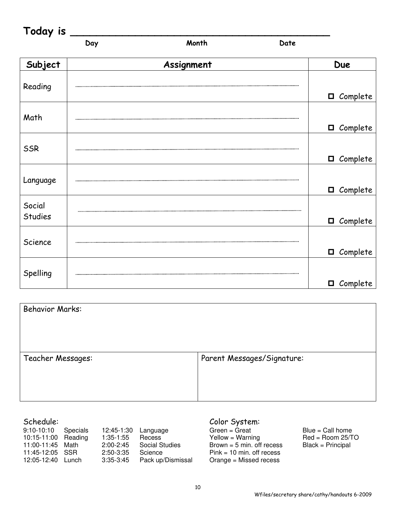#### Today is

|                          | Day | Month      | Date |                 |
|--------------------------|-----|------------|------|-----------------|
| Subject                  |     | Assignment |      | <b>Due</b>      |
| Reading                  |     |            |      | $\Box$ Complete |
| Math                     |     |            |      | $\Box$ Complete |
| <b>SSR</b>               |     |            |      | $\Box$ Complete |
| Language                 |     |            |      | $\Box$ Complete |
| Social<br><b>Studies</b> |     |            |      | $\Box$ Complete |
| Science                  |     |            |      | $\Box$ Complete |
| Spelling                 |     |            |      | $\Box$ Complete |

| <b>Behavior Marks:</b> |                            |
|------------------------|----------------------------|
| Teacher Messages:      | Parent Messages/Signature: |

| 9:10-10:10 Specials | 12:45-1:30 Language |                             | $Green = Great$             | $Blue = Call home$ |
|---------------------|---------------------|-----------------------------|-----------------------------|--------------------|
| 10:15-11:00 Reading | 1:35-1:55           | Recess                      | $Y$ ellow = Warning         | $Red = Room 25/T$  |
| 11:00-11:45 Math    |                     | 2:00-2:45 Social Studies    | Brown $=$ 5 min. off recess | Black = Principal  |
| 11:45-12:05 SSR     | 2:50-3:35           | Science                     | $Pink = 10$ min. off recess |                    |
| 12:05-12:40 Lunch   |                     | 3:35-3:45 Pack up/Dismissal | Orange = Missed recess      |                    |

#### Schedule: Color System: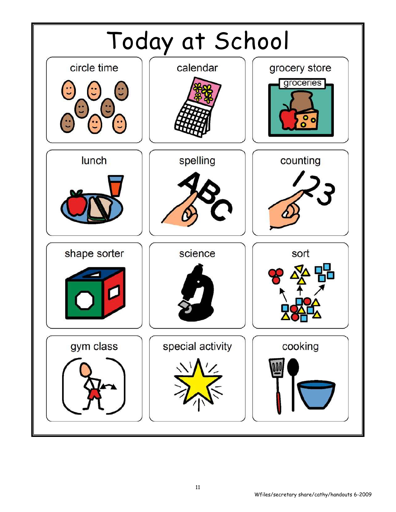